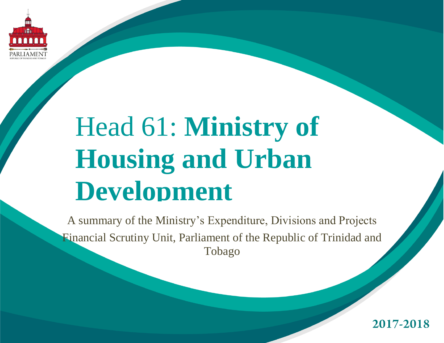

# Head 61: **Ministry of Housing and Urban Development**

A summary of the Ministry's Expenditure, Divisions and Projects Financial Scrutiny Unit, Parliament of the Republic of Trinidad and Tobago

2017-2018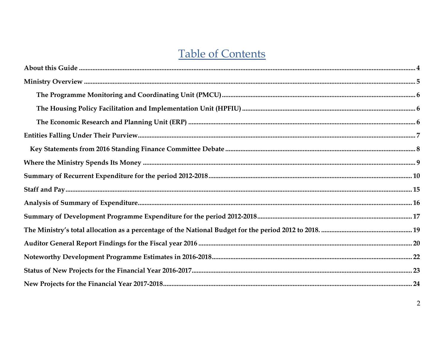### **Table of Contents**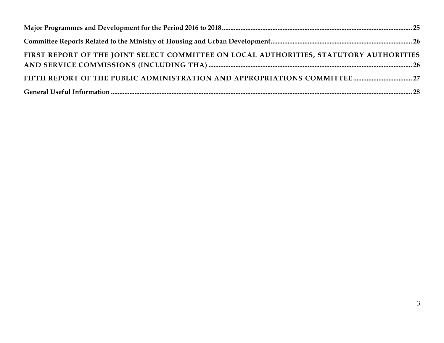| FIRST REPORT OF THE JOINT SELECT COMMITTEE ON LOCAL AUTHORITIES, STATUTORY AUTHORITIES |  |
|----------------------------------------------------------------------------------------|--|
|                                                                                        |  |
|                                                                                        |  |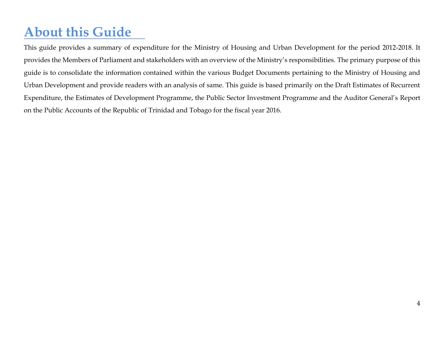# <span id="page-3-0"></span>**About this Guide**

This guide provides a summary of expenditure for the Ministry of Housing and Urban Development for the period 2012-2018. It provides the Members of Parliament and stakeholders with an overview of the Ministry's responsibilities. The primary purpose of this guide is to consolidate the information contained within the various Budget Documents pertaining to the Ministry of Housing and Urban Development and provide readers with an analysis of same. This guide is based primarily on the Draft Estimates of Recurrent Expenditure, the Estimates of Development Programme, the Public Sector Investment Programme and the Auditor General's Report on the Public Accounts of the Republic of Trinidad and Tobago for the fiscal year 2016.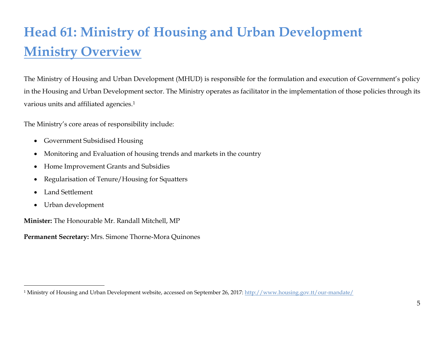# <span id="page-4-0"></span>**Head 61: Ministry of Housing and Urban Development Ministry Overview**

The Ministry of Housing and Urban Development (MHUD) is responsible for the formulation and execution of Government's policy in the Housing and Urban Development sector. The Ministry operates as facilitator in the implementation of those policies through its various units and affiliated agencies.<sup>1</sup>

The Ministry's core areas of responsibility include:

- Government Subsidised Housing
- Monitoring and Evaluation of housing trends and markets in the country
- Home Improvement Grants and Subsidies
- Regularisation of Tenure/Housing for Squatters
- Land Settlement

 $\overline{a}$ 

Urban development

**Minister:** The Honourable Mr. Randall Mitchell, MP

**Permanent Secretary:** Mrs. Simone Thorne-Mora Quinones

<sup>1</sup> Ministry of Housing and Urban Development website, accessed on September 26, 2017[: http://www.housing.gov.tt/our-mandate/](http://www.housing.gov.tt/our-mandate/)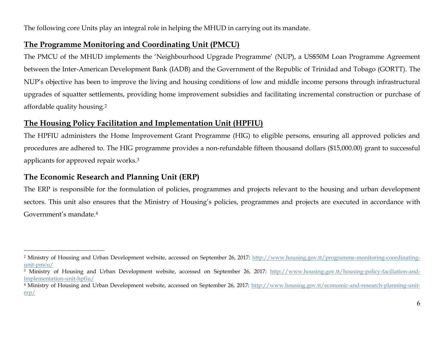The following core Units play an integral role in helping the MHUD in carrying out its mandate.

### <span id="page-5-0"></span>**The Programme Monitoring and Coordinating Unit (PMCU)**

The PMCU of the MHUD implements the 'Neighbourhood Upgrade Programme' (NUP), a US\$50M Loan Programme Agreement between the Inter-American Development Bank (IADB) and the Government of the Republic of Trinidad and Tobago (GORTT). The NUP's objective has been to improve the living and housing conditions of low and middle income persons through infrastructural upgrades of squatter settlements, providing home improvement subsidies and facilitating incremental construction or purchase of affordable quality housing.<sup>2</sup>

### <span id="page-5-1"></span>**The Housing Policy Facilitation and Implementation Unit (HPFIU)**

The HPFIU administers the Home Improvement Grant Programme (HIG) to eligible persons, ensuring all approved policies and procedures are adhered to. The HIG programme provides a non-refundable fifteen thousand dollars (\$15,000.00) grant to successful applicants for approved repair works.<sup>3</sup>

### <span id="page-5-2"></span>**The Economic Research and Planning Unit (ERP)**

 $\overline{a}$ 

The ERP is responsible for the formulation of policies, programmes and projects relevant to the housing and urban development sectors. This unit also ensures that the Ministry of Housing's policies, programmes and projects are executed in accordance with Government's mandate.<sup>4</sup>

<sup>&</sup>lt;sup>2</sup> Ministry of Housing and Urban Development website, accessed on September 26, 2017: [http://www.housing.gov.tt/programme-monitoring-coordinating](http://www.housing.gov.tt/programme-monitoring-coordinating-unit-pmcu/)[unit-pmcu/](http://www.housing.gov.tt/programme-monitoring-coordinating-unit-pmcu/)

<sup>&</sup>lt;sup>3</sup> Ministry of Housing and Urban Development website, accessed on September 26, 2017: [http://www.housing.gov.tt/housing-policy-faciliation-and](http://www.housing.gov.tt/housing-policy-faciliation-and-lmplementation-unit-hpfiu/)[lmplementation-unit-hpfiu/](http://www.housing.gov.tt/housing-policy-faciliation-and-lmplementation-unit-hpfiu/)

<sup>&</sup>lt;sup>4</sup> Ministry of Housing and Urban Development website, accessed on September 26, 2017: [http://www.housing.gov.tt/economic-and-research-planning-unit](http://www.housing.gov.tt/economic-and-research-planning-unit-erp/)[erp/](http://www.housing.gov.tt/economic-and-research-planning-unit-erp/)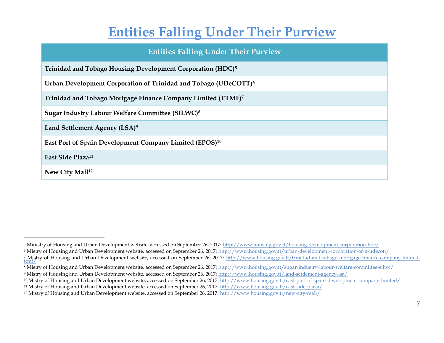### **Entities Falling Under Their Purview**

### **Entities Falling Under Their Purview**

<span id="page-6-0"></span>

| Trinidad and Tobago Housing Development Corporation (HDC) <sup>5</sup> |  |
|------------------------------------------------------------------------|--|
|------------------------------------------------------------------------|--|

**Urban Development Corporation of Trinidad and Tobago (UDeCOTT)<sup>6</sup>**

**Trinidad and Tobago Mortgage Finance Company Limited (TTMF)<sup>7</sup>**

**Sugar Industry Labour Welfare Committee (SILWC)<sup>8</sup>**

**Land Settlement Agency (LSA)<sup>9</sup>**

**East Port of Spain Development Company Limited (EPOS)<sup>10</sup>**

**East Side Plaza<sup>11</sup>**

**New City Mall<sup>12</sup>**

<sup>5</sup> Ministry of Housing and Urban Development website, accessed on September 26, 2017: <http://www.housing.gov.tt/housing-development-corporation-hdc/>

<sup>6</sup> Mistry of Housing and Urban Development website, accessed on September 26, 2017: <http://www.housing.gov.tt/urban-development-corporation-of-tt-udecott/>

<sup>&</sup>lt;sup>7</sup> Mistry of Housing and Urban Development website, accessed on September 26, 2017: <u>http://www.housing.gov.tt/trinidad-and-tobago-mortgage-finance-company-limited-<br>[ttmf/](http://www.housing.gov.tt/trinidad-and-tobago-mortgage-finance-company-limited-ttmf/)</u>

<sup>8</sup> Mistry of Housing and Urban Development website, accessed on September 26, 2017: <http://www.housing.gov.tt/sugar-industry-labour-welfare-committee-silwc/>

<sup>9</sup> Mistry of Housing and Urban Development website, accessed on September 26, 2017: <http://www.housing.gov.tt/land-settlement-agency-lsa/>

<sup>10</sup> Mistry of Housing and Urban Development website, accessed on September 26, 2017: <http://www.housing.gov.tt/east-port-of-spain-development-company-limited/>

<sup>11</sup> Mistry of Housing and Urban Development website, accessed on September 26, 2017: <http://www.housing.gov.tt/east-side-plaza/>

<sup>12</sup> Mistry of Housing and Urban Development website, accessed on September 26, 2017: <http://www.housing.gov.tt/new-city-mall/>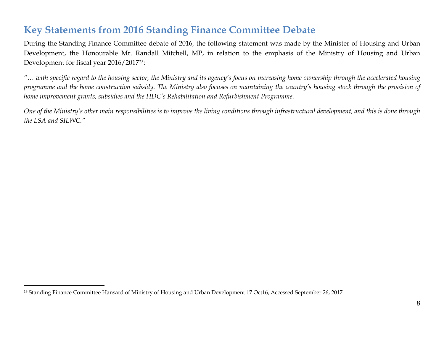### <span id="page-7-0"></span>**Key Statements from 2016 Standing Finance Committee Debate**

During the Standing Finance Committee debate of 2016, the following statement was made by the Minister of Housing and Urban Development, the Honourable Mr. Randall Mitchell, MP, in relation to the emphasis of the Ministry of Housing and Urban Development for fiscal year 2016/2017*13*:

*"… with specific regard to the housing sector, the Ministry and its agency's focus on increasing home ownership through the accelerated housing programme and the home construction subsidy. The Ministry also focuses on maintaining the country's housing stock through the provision of home improvement grants, subsidies and the HDC's Rehabilitation and Refurbishment Programme.*

*One of the Ministry's other main responsibilities is to improve the living conditions through infrastructural development, and this is done through the LSA and SILWC."*

<sup>13</sup> Standing Finance Committee Hansard of Ministry of Housing and Urban Development 17 Oct16, Accessed September 26, 2017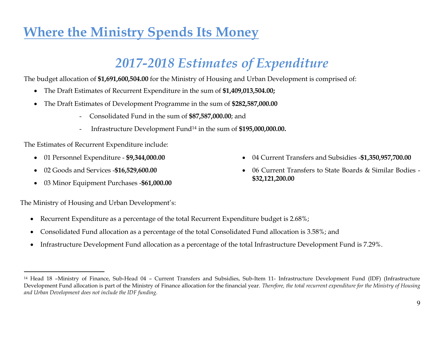# <span id="page-8-0"></span>**Where the Ministry Spends Its Money**

# *2017-2018 Estimates of Expenditure*

The budget allocation of **\$1,691,600,504.00** for the Ministry of Housing and Urban Development is comprised of:

- The Draft Estimates of Recurrent Expenditure in the sum of **\$1,409,013,504.00;**
- The Draft Estimates of Development Programme in the sum of **\$282,587,000.00**
	- Consolidated Fund in the sum of **\$87,587,000.00**; and
	- Infrastructure Development Fund<sup>14</sup> in the sum of **\$195,000,000.00.**

The Estimates of Recurrent Expenditure include:

- 01 Personnel Expenditure **\$9,344,000.00**
- 02 Goods and Services -**\$16,529,600.00**
- 03 Minor Equipment Purchases -**\$61,000.00**

The Ministry of Housing and Urban Development's:

- Recurrent Expenditure as a percentage of the total Recurrent Expenditure budget is 2.68%;
- Consolidated Fund allocation as a percentage of the total Consolidated Fund allocation is 3.58%; and
- Infrastructure Development Fund allocation as a percentage of the total Infrastructure Development Fund is 7.29%.
- 04 Current Transfers and Subsidies -**\$1,350,957,700.00**
- 06 Current Transfers to State Boards & Similar Bodies **\$32,121,200.00**

<sup>14</sup> Head 18 –Ministry of Finance, Sub-Head 04 – Current Transfers and Subsidies, Sub-Item 11- Infrastructure Development Fund (IDF) (Infrastructure Development Fund allocation is part of the Ministry of Finance allocation for the financial year. *Therefore, the total recurrent expenditure for the Ministry of Housing and Urban Development does not include the IDF funding.*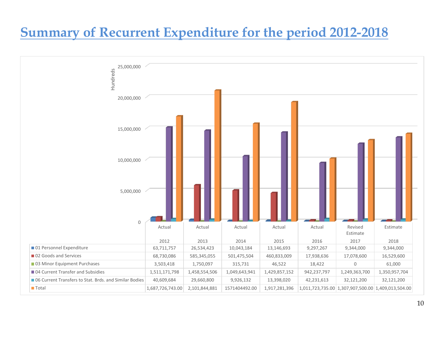### <span id="page-9-0"></span>**Summary of Recurrent Expenditure for the period 2012-2018**

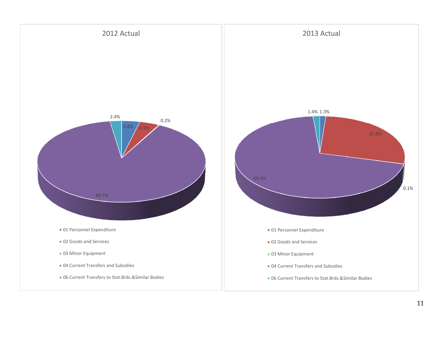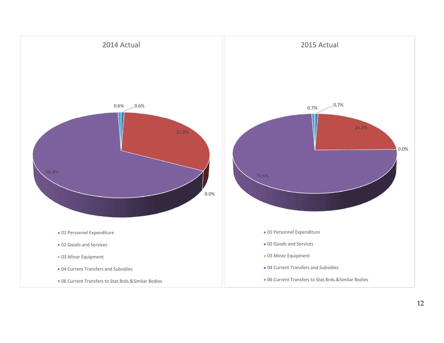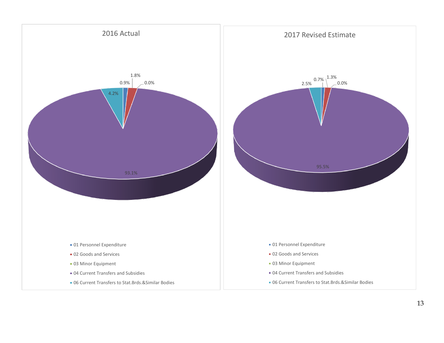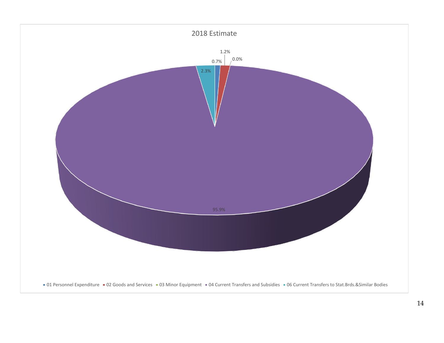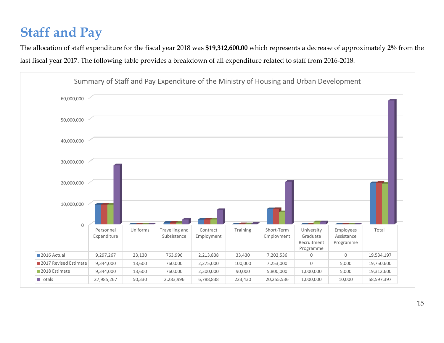# <span id="page-14-0"></span>**Staff and Pay**

The allocation of staff expenditure for the fiscal year 2018 was **\$19,312,600.00** which represents a decrease of approximately **2%** from the last fiscal year 2017. The following table provides a breakdown of all expenditure related to staff from 2016-2018.

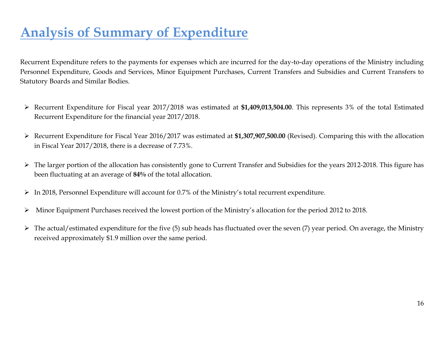# <span id="page-15-0"></span>**Analysis of Summary of Expenditure**

Recurrent Expenditure refers to the payments for expenses which are incurred for the day-to-day operations of the Ministry including Personnel Expenditure, Goods and Services, Minor Equipment Purchases, Current Transfers and Subsidies and Current Transfers to Statutory Boards and Similar Bodies.

- Recurrent Expenditure for Fiscal year 2017/2018 was estimated at **\$1,409,013,504.00**. This represents 3% of the total Estimated Recurrent Expenditure for the financial year 2017/2018.
- Recurrent Expenditure for Fiscal Year 2016/2017 was estimated at **\$1,307,907,500.00** (Revised). Comparing this with the allocation in Fiscal Year 2017/2018, there is a decrease of 7.73%.
- > The larger portion of the allocation has consistently gone to Current Transfer and Subsidies for the years 2012-2018. This figure has been fluctuating at an average of **84%** of the total allocation.
- In 2018, Personnel Expenditure will account for 0.7% of the Ministry's total recurrent expenditure.
- Minor Equipment Purchases received the lowest portion of the Ministry's allocation for the period 2012 to 2018.
- $\triangleright$  The actual/estimated expenditure for the five (5) sub heads has fluctuated over the seven (7) year period. On average, the Ministry received approximately \$1.9 million over the same period.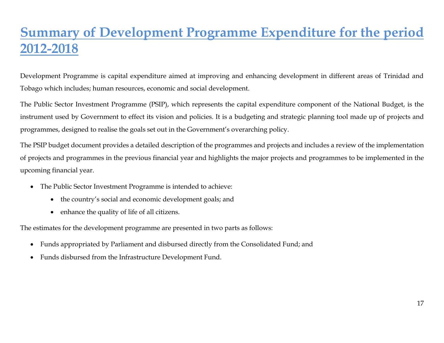# <span id="page-16-0"></span>**Summary of Development Programme Expenditure for the period 2012-2018**

Development Programme is capital expenditure aimed at improving and enhancing development in different areas of Trinidad and Tobago which includes; human resources, economic and social development.

The Public Sector Investment Programme (PSIP), which represents the capital expenditure component of the National Budget, is the instrument used by Government to effect its vision and policies. It is a budgeting and strategic planning tool made up of projects and programmes, designed to realise the goals set out in the Government's overarching policy.

The PSIP budget document provides a detailed description of the programmes and projects and includes a review of the implementation of projects and programmes in the previous financial year and highlights the major projects and programmes to be implemented in the upcoming financial year.

- The Public Sector Investment Programme is intended to achieve:
	- the country's social and economic development goals; and
	- enhance the quality of life of all citizens.

The estimates for the development programme are presented in two parts as follows:

- Funds appropriated by Parliament and disbursed directly from the Consolidated Fund; and
- Funds disbursed from the Infrastructure Development Fund.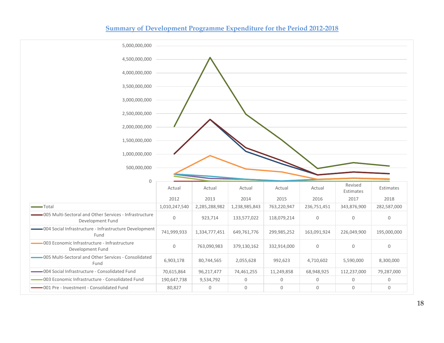

#### **Summary of Development Programme Expenditure for the Period 2012-2018**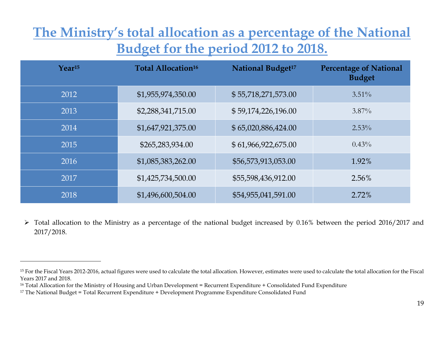# <span id="page-18-0"></span>**The Ministry's total allocation as a percentage of the National Budget for the period 2012 to 2018.**

| $Year^{15}$ | Total Allocation <sup>16</sup> | <b>National Budget<sup>17</sup></b> | <b>Percentage of National</b><br><b>Budget</b> |
|-------------|--------------------------------|-------------------------------------|------------------------------------------------|
| 2012        | \$1,955,974,350.00             | \$55,718,271,573.00                 | $3.51\%$                                       |
| 2013        | \$2,288,341,715.00             | \$59,174,226,196.00                 | $3.87\%$                                       |
| 2014        | \$1,647,921,375.00             | \$65,020,886,424.00                 | $2.53\%$                                       |
| 2015        | \$265,283,934.00               | \$61,966,922,675.00                 | $0.43\%$                                       |
| 2016        | \$1,085,383,262.00             | \$56,573,913,053.00                 | 1.92%                                          |
| 2017        | \$1,425,734,500.00             | \$55,598,436,912.00                 | $2.56\%$                                       |
| 2018        | \$1,496,600,504.00             | \$54,955,041,591.00                 | 2.72%                                          |

 Total allocation to the Ministry as a percentage of the national budget increased by 0.16% between the period 2016/2017 and 2017/2018.

<sup>&</sup>lt;sup>15</sup> For the Fiscal Years 2012-2016, actual figures were used to calculate the total allocation. However, estimates were used to calculate the total allocation for the Fiscal Years 2017 and 2018.

<sup>&</sup>lt;sup>16</sup> Total Allocation for the Ministry of Housing and Urban Development = Recurrent Expenditure + Consolidated Fund Expenditure

<sup>17</sup> The National Budget = Total Recurrent Expenditure + Development Programme Expenditure Consolidated Fund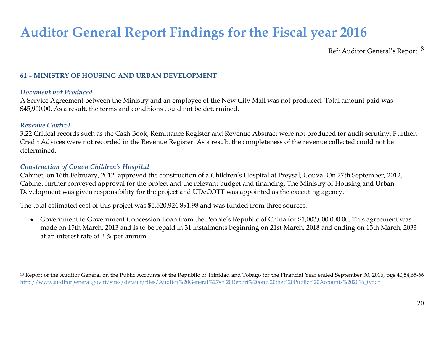# <span id="page-19-0"></span>**Auditor General Report Findings for the Fiscal year 2016**

Ref: Auditor General's Report<sup>18</sup>

### **61 – MINISTRY OF HOUSING AND URBAN DEVELOPMENT**

#### *Document not Produced*

A Service Agreement between the Ministry and an employee of the New City Mall was not produced. Total amount paid was \$45,900.00. As a result, the terms and conditions could not be determined.

#### *Revenue Control*

 $\overline{a}$ 

3.22 Critical records such as the Cash Book, Remittance Register and Revenue Abstract were not produced for audit scrutiny. Further, Credit Advices were not recorded in the Revenue Register. As a result, the completeness of the revenue collected could not be determined.

#### *Construction of Couva Children's Hospital*

Cabinet, on 16th February, 2012, approved the construction of a Children's Hospital at Preysal, Couva. On 27th September, 2012, Cabinet further conveyed approval for the project and the relevant budget and financing. The Ministry of Housing and Urban Development was given responsibility for the project and UDeCOTT was appointed as the executing agency.

The total estimated cost of this project was \$1,520,924,891.98 and was funded from three sources:

 Government to Government Concession Loan from the People's Republic of China for \$1,003,000,000.00. This agreement was made on 15th March, 2013 and is to be repaid in 31 instalments beginning on 21st March, 2018 and ending on 15th March, 2033 at an interest rate of 2 % per annum.

<sup>&</sup>lt;sup>18</sup> Report of the Auditor General on the Public Accounts of the Republic of Trinidad and Tobago for the Financial Year ended September 30, 2016, pgs 40,54,65-66 [http://www.auditorgeneral.gov.tt/sites/default/files/Auditor%20General%27s%20Report%20on%20the%20Public%20Accounts%202016\\_0.pdf](http://www.auditorgeneral.gov.tt/sites/default/files/Auditor%20General%27s%20Report%20on%20the%20Public%20Accounts%202016_0.pdf)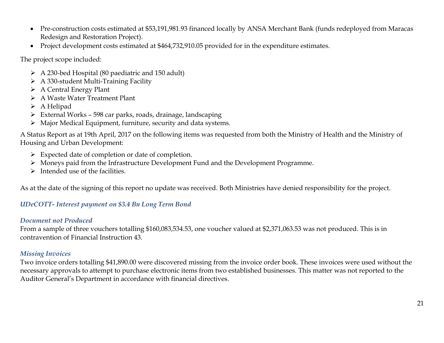- Pre-construction costs estimated at \$53,191,981.93 financed locally by ANSA Merchant Bank (funds redeployed from Maracas Redesign and Restoration Project).
- Project development costs estimated at \$464,732,910.05 provided for in the expenditure estimates.

The project scope included:

- A 230-bed Hospital (80 paediatric and 150 adult)
- $\triangleright$  A 330-student Multi-Training Facility
- $\triangleright$  A Central Energy Plant
- A Waste Water Treatment Plant
- A Helipad
- $\triangleright$  External Works 598 car parks, roads, drainage, landscaping
- Major Medical Equipment, furniture, security and data systems.

A Status Report as at 19th April, 2017 on the following items was requested from both the Ministry of Health and the Ministry of Housing and Urban Development:

- Expected date of completion or date of completion.
- Moneys paid from the Infrastructure Development Fund and the Development Programme.
- $\triangleright$  Intended use of the facilities.

As at the date of the signing of this report no update was received. Both Ministries have denied responsibility for the project.

### *UDeCOTT- Interest payment on \$3.4 Bn Long Term Bond*

#### *Document not Produced*

From a sample of three vouchers totalling \$160,083,534.53, one voucher valued at \$2,371,063.53 was not produced. This is in contravention of Financial Instruction 43.

#### *Missing Invoices*

Two invoice orders totalling \$41,890.00 were discovered missing from the invoice order book. These invoices were used without the necessary approvals to attempt to purchase electronic items from two established businesses. This matter was not reported to the Auditor General's Department in accordance with financial directives.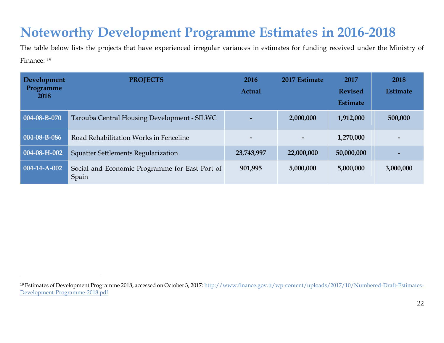### <span id="page-21-0"></span>**Noteworthy Development Programme Estimates in 2016-2018**

The table below lists the projects that have experienced irregular variances in estimates for funding received under the Ministry of Finance: <sup>19</sup>

| Development<br>Programme<br>2018 | <b>PROJECTS</b>                                         | 2016<br>Actual           | 2017 Estimate            | 2017<br><b>Revised</b><br><b>Estimate</b> | 2018<br><b>Estimate</b> |
|----------------------------------|---------------------------------------------------------|--------------------------|--------------------------|-------------------------------------------|-------------------------|
| 004-08-B-070                     | Tarouba Central Housing Development - SILWC             |                          | 2,000,000                | 1,912,000                                 | 500,000                 |
| 004-08-B-086                     | Road Rehabilitation Works in Fenceline                  | $\overline{\phantom{0}}$ | $\overline{\phantom{a}}$ | 1,270,000                                 |                         |
| $004-08-H-002$                   | <b>Squatter Settlements Regularization</b>              | 23,743,997               | 22,000,000               | 50,000,000                                |                         |
| 004-14-A-002                     | Social and Economic Programme for East Port of<br>Spain | 901,995                  | 5,000,000                | 5,000,000                                 | 3,000,000               |

<span id="page-21-1"></span><sup>&</sup>lt;sup>19</sup> Estimates of Development Programme 2018, accessed on October 3, 2017[: http://www.finance.gov.tt/wp-content/uploads/2017/10/Numbered-Draft-Estimates-](http://www.finance.gov.tt/wp-content/uploads/2017/10/Numbered-Draft-Estimates-Development-Programme-2018.pdf)[Development-Programme-2018.pdf](http://www.finance.gov.tt/wp-content/uploads/2017/10/Numbered-Draft-Estimates-Development-Programme-2018.pdf)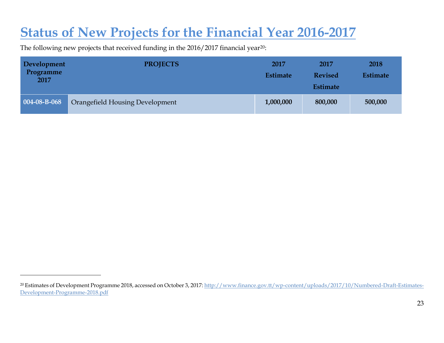### **Status of New Projects for the Financial Year 2016-2017**

The following new projects that received funding in the 2016/2017 financial year<sup>20</sup>:

| Development<br>Programme<br>2017 | <b>PROJECTS</b>                 | 2017<br><b>Estimate</b> | 2017<br><b>Revised</b><br><b>Estimate</b> | 2018<br><b>Estimate</b> |
|----------------------------------|---------------------------------|-------------------------|-------------------------------------------|-------------------------|
| $004-08-B-068$                   | Orangefield Housing Development | 1,000,000               | 800,000                                   | 500,000                 |

<sup>&</sup>lt;sup>20</sup> Estimates of Development Programme 2018, accessed on October 3, 2017[: http://www.finance.gov.tt/wp-content/uploads/2017/10/Numbered-Draft-Estimates-](http://www.finance.gov.tt/wp-content/uploads/2017/10/Numbered-Draft-Estimates-Development-Programme-2018.pdf)[Development-Programme-2018.pdf](http://www.finance.gov.tt/wp-content/uploads/2017/10/Numbered-Draft-Estimates-Development-Programme-2018.pdf)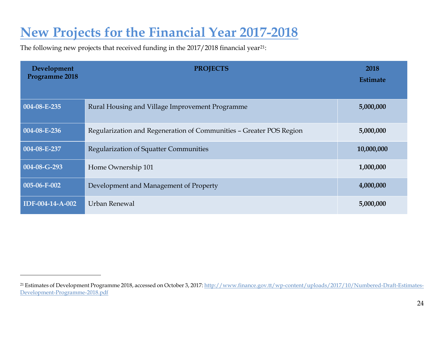# <span id="page-23-0"></span>**New Projects for the Financial Year 2017-2018**

The following new projects that received funding in the 2017/2018 financial year<sup>21</sup>:

| Development<br>Programme 2018 | <b>PROJECTS</b>                                                     | 2018<br><b>Estimate</b> |
|-------------------------------|---------------------------------------------------------------------|-------------------------|
| $004-08-E-235$                | Rural Housing and Village Improvement Programme                     | 5,000,000               |
| 004-08-E-236                  | Regularization and Regeneration of Communities - Greater POS Region | 5,000,000               |
| 004-08-E-237                  | <b>Regularization of Squatter Communities</b>                       | 10,000,000              |
| 004-08-G-293                  | Home Ownership 101                                                  | 1,000,000               |
| $005-06-F-002$                | Development and Management of Property                              | 4,000,000               |
| IDF-004-14-A-002              | Urban Renewal                                                       | 5,000,000               |

<sup>&</sup>lt;sup>21</sup> Estimates of Development Programme 2018, accessed on October 3, 2017[: http://www.finance.gov.tt/wp-content/uploads/2017/10/Numbered-Draft-Estimates-](http://www.finance.gov.tt/wp-content/uploads/2017/10/Numbered-Draft-Estimates-Development-Programme-2018.pdf)[Development-Programme-2018.pdf](http://www.finance.gov.tt/wp-content/uploads/2017/10/Numbered-Draft-Estimates-Development-Programme-2018.pdf)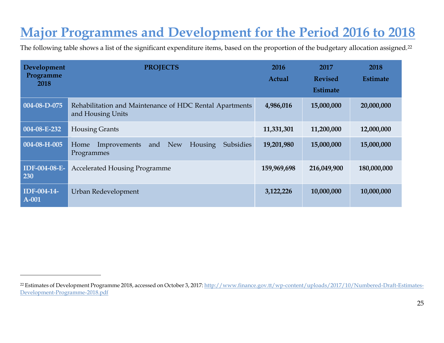# <span id="page-24-0"></span>**Major Programmes and Development for the Period 2016 to 2018**

The following table shows a list of the significant expenditure items, based on the proportion of the budgetary allocation assigned.<sup>22</sup>

| Development                 | <b>PROJECTS</b>                                                                               | 2016          | 2017            | 2018            |
|-----------------------------|-----------------------------------------------------------------------------------------------|---------------|-----------------|-----------------|
| Programme<br>2018           |                                                                                               | <b>Actual</b> | <b>Revised</b>  | <b>Estimate</b> |
|                             |                                                                                               |               | <b>Estimate</b> |                 |
| 004-08-D-075                | Rehabilitation and Maintenance of HDC Rental Apartments<br>and Housing Units                  | 4,986,016     | 15,000,000      | 20,000,000      |
| 004-08-E-232                | <b>Housing Grants</b>                                                                         | 11,331,301    | 11,200,000      | 12,000,000      |
| 004-08-H-005                | <b>Subsidies</b><br><b>New</b><br><b>Housing</b><br>Improvements<br>and<br>Home<br>Programmes | 19,201,980    | 15,000,000      | 15,000,000      |
| <b>IDF-004-08-E-</b><br>230 | <b>Accelerated Housing Programme</b>                                                          | 159,969,698   | 216,049,900     | 180,000,000     |
| IDF-004-14-<br>A-001        | Urban Redevelopment                                                                           | 3,122,226     | 10,000,000      | 10,000,000      |

<sup>&</sup>lt;sup>22</sup> Estimates of Development Programme 2018, accessed on October 3, 2017[: http://www.finance.gov.tt/wp-content/uploads/2017/10/Numbered-Draft-Estimates-](http://www.finance.gov.tt/wp-content/uploads/2017/10/Numbered-Draft-Estimates-Development-Programme-2018.pdf)[Development-Programme-2018.pdf](http://www.finance.gov.tt/wp-content/uploads/2017/10/Numbered-Draft-Estimates-Development-Programme-2018.pdf)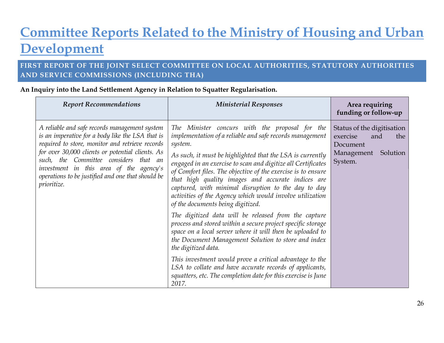# <span id="page-25-0"></span>**Committee Reports Related to the Ministry of Housing and Urban Development**

### <span id="page-25-1"></span>**FIRST REPORT OF THE JOINT SELECT COMMITTEE ON LOCAL AUTHORITIES, STATUTORY AUTHORITIES AND SERVICE COMMISSIONS (INCLUDING THA)**

| <b>Report Recommendations</b>                                                                                                                                                                                                                                                                                                                                           | <b>Ministerial Responses</b>                                                                                                                                                                                                                                                                                                                                                                                                                                                                                                                                                                                                                                                                                                                                                                                                                                                                                                                                                                      | Area requiring<br>funding or follow-up                                                                |
|-------------------------------------------------------------------------------------------------------------------------------------------------------------------------------------------------------------------------------------------------------------------------------------------------------------------------------------------------------------------------|---------------------------------------------------------------------------------------------------------------------------------------------------------------------------------------------------------------------------------------------------------------------------------------------------------------------------------------------------------------------------------------------------------------------------------------------------------------------------------------------------------------------------------------------------------------------------------------------------------------------------------------------------------------------------------------------------------------------------------------------------------------------------------------------------------------------------------------------------------------------------------------------------------------------------------------------------------------------------------------------------|-------------------------------------------------------------------------------------------------------|
| A reliable and safe records management system<br>is an imperative for a body like the LSA that is<br>required to store, monitor and retrieve records<br>for over 30,000 clients or potential clients. As<br>such, the Committee considers that an<br>investment in this area of the agency's<br>operations to be justified and one that should be<br><i>prioritize.</i> | The Minister concurs with the proposal for the<br>implementation of a reliable and safe records management<br>system.<br>As such, it must be highlighted that the LSA is currently<br>engaged in an exercise to scan and digitize all Certificates<br>of Comfort files. The objective of the exercise is to ensure<br>that high quality images and accurate indices are<br>captured, with minimal disruption to the day to day<br>activities of the Agency which would involve utilization<br>of the documents being digitized.<br>The digitized data will be released from the capture<br>process and stored within a secure project specific storage<br>space on a local server where it will then be uploaded to<br>the Document Management Solution to store and index<br>the digitized data.<br>This investment would prove a critical advantage to the<br>LSA to collate and have accurate records of applicants,<br>squatters, etc. The completion date for this exercise is June<br>2017. | Status of the digitisation<br>exercise<br>and<br>the<br>Document<br>Management<br>Solution<br>System. |

**An Inquiry into the Land Settlement Agency in Relation to Squatter Regularisation.**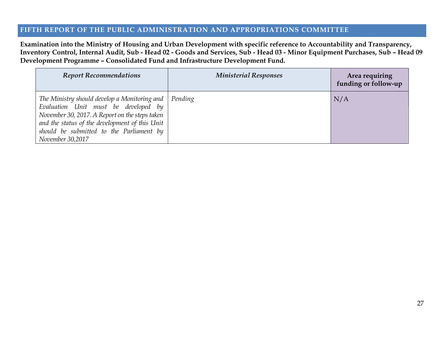#### <span id="page-26-0"></span>**FIFTH REPORT OF THE PUBLIC ADMINISTRATION AND APPROPRIATIONS COMMITTEE**

**Examination into the Ministry of Housing and Urban Development with specific reference to Accountability and Transparency, Inventory Control, Internal Audit, Sub - Head 02 - Goods and Services, Sub - Head 03 - Minor Equipment Purchases, Sub – Head 09 Development Programme – Consolidated Fund and Infrastructure Development Fund.**

| <b>Report Recommendations</b>                                                                                                                                                                                                                            | <b>Ministerial Responses</b> | Area requiring<br>funding or follow-up |
|----------------------------------------------------------------------------------------------------------------------------------------------------------------------------------------------------------------------------------------------------------|------------------------------|----------------------------------------|
| The Ministry should develop a Monitoring and<br>Evaluation Unit must be developed by<br>November 30, 2017. A Report on the steps taken<br>and the status of the development of this Unit<br>should be submitted to the Parliament by<br>November 30,2017 | Pending                      | N/A                                    |